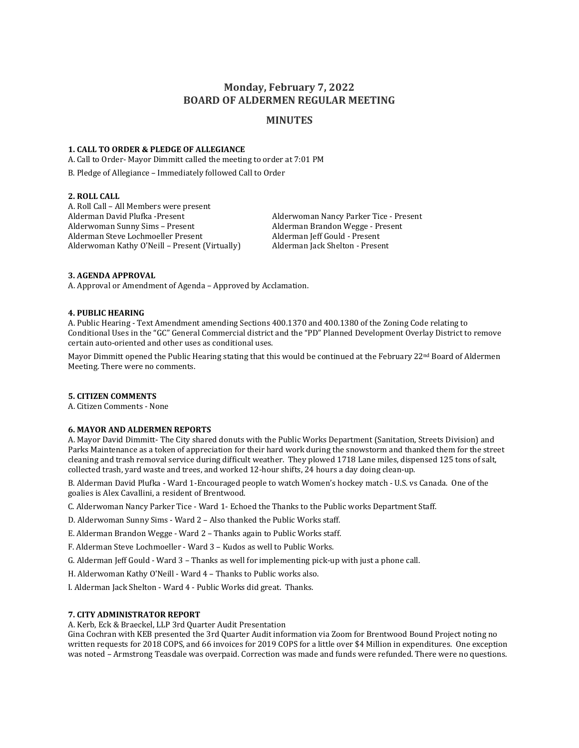# **Monday, February 7, 2022 BOARD OF ALDERMEN REGULAR MEETING**

# **MINUTES**

# **1. CALL TO ORDER & PLEDGE OF ALLEGIANCE**

A. Call to Order- Mayor Dimmitt called the meeting to order at 7:01 PM

B. Pledge of Allegiance – Immediately followed Call to Order

# **2. ROLL CALL**

A. Roll Call – All Members were present Alderman David Plufka -Present Alderwoman Nancy Parker Tice - Present Alderwoman Sunny Sims – Present Alderman Brandon Wegge - Present Alderman Steve Lochmoeller Present Alderman Jeff Gould - Present Alderwoman Kathy O'Neill – Present (Virtually) Alderman Jack Shelton - Present

# **3. AGENDA APPROVAL**

A. Approval or Amendment of Agenda – Approved by Acclamation.

#### **4. PUBLIC HEARING**

A. Public Hearing - Text Amendment amending Sections 400.1370 and 400.1380 of the Zoning Code relating to Conditional Uses in the "GC" General Commercial district and the "PD" Planned Development Overlay District to remove certain auto-oriented and other uses as conditional uses.

Mayor Dimmitt opened the Public Hearing stating that this would be continued at the February  $22<sup>nd</sup>$  Board of Aldermen Meeting. There were no comments.

# **5. CITIZEN COMMENTS**

A. Citizen Comments - None

## **6. MAYOR AND ALDERMEN REPORTS**

A. Mayor David Dimmitt- The City shared donuts with the Public Works Department (Sanitation, Streets Division) and Parks Maintenance as a token of appreciation for their hard work during the snowstorm and thanked them for the street cleaning and trash removal service during difficult weather. They plowed 1718 Lane miles, dispensed 125 tons of salt, collected trash, yard waste and trees, and worked 12-hour shifts, 24 hours a day doing clean-up.

B. Alderman David Plufka - Ward 1-Encouraged people to watch Women's hockey match - U.S. vs Canada. One of the goalies is Alex Cavallini, a resident of Brentwood.

C. Alderwoman Nancy Parker Tice - Ward 1- Echoed the Thanks to the Public works Department Staff.

D. Alderwoman Sunny Sims - Ward 2 – Also thanked the Public Works staff.

E. Alderman Brandon Wegge - Ward 2 – Thanks again to Public Works staff.

F. Alderman Steve Lochmoeller - Ward 3 – Kudos as well to Public Works.

G. Alderman Jeff Gould - Ward 3 – Thanks as well for implementing pick-up with just a phone call.

H. Alderwoman Kathy O'Neill - Ward 4 – Thanks to Public works also.

I. Alderman Jack Shelton - Ward 4 - Public Works did great. Thanks.

# **7. CITY ADMINISTRATOR REPORT**

A. Kerb, Eck & Braeckel, LLP 3rd Quarter Audit Presentation

Gina Cochran with KEB presented the 3rd Quarter Audit information via Zoom for Brentwood Bound Project noting no written requests for 2018 COPS, and 66 invoices for 2019 COPS for a little over \$4 Million in expenditures. One exception was noted – Armstrong Teasdale was overpaid. Correction was made and funds were refunded. There were no questions.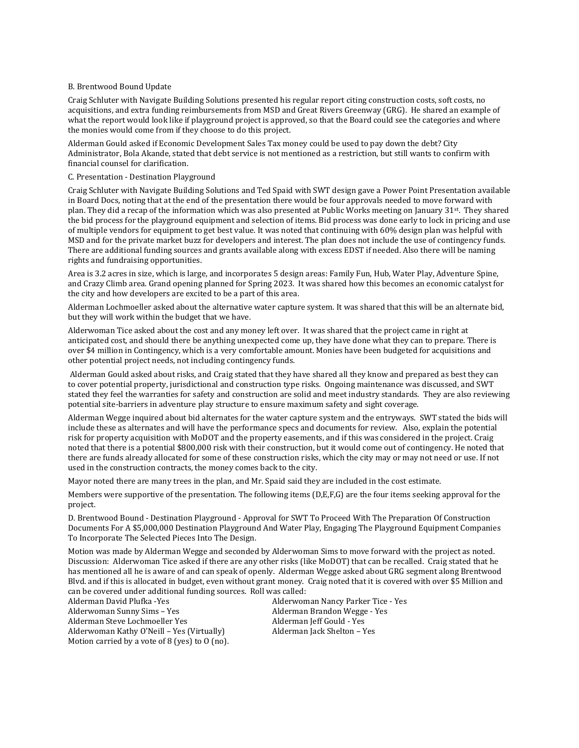### B. Brentwood Bound Update

Craig Schluter with Navigate Building Solutions presented his regular report citing construction costs, soft costs, no acquisitions, and extra funding reimbursements from MSD and Great Rivers Greenway (GRG). He shared an example of what the report would look like if playground project is approved, so that the Board could see the categories and where the monies would come from if they choose to do this project.

Alderman Gould asked if Economic Development Sales Tax money could be used to pay down the debt? City Administrator, Bola Akande, stated that debt service is not mentioned as a restriction, but still wants to confirm with financial counsel for clarification.

## C. Presentation - Destination Playground

Craig Schluter with Navigate Building Solutions and Ted Spaid with SWT design gave a Power Point Presentation available in Board Docs, noting that at the end of the presentation there would be four approvals needed to move forward with plan. They did a recap of the information which was also presented at Public Works meeting on January 31<sup>st</sup>. They shared the bid process for the playground equipment and selection of items. Bid process was done early to lock in pricing and use of multiple vendors for equipment to get best value. It was noted that continuing with 60% design plan was helpful with MSD and for the private market buzz for developers and interest. The plan does not include the use of contingency funds. There are additional funding sources and grants available along with excess EDST if needed. Also there will be naming rights and fundraising opportunities.

Area is 3.2 acres in size, which is large, and incorporates 5 design areas: Family Fun, Hub, Water Play, Adventure Spine, and Crazy Climb area. Grand opening planned for Spring 2023. It was shared how this becomes an economic catalyst for the city and how developers are excited to be a part of this area.

Alderman Lochmoeller asked about the alternative water capture system. It was shared that this will be an alternate bid, but they will work within the budget that we have.

Alderwoman Tice asked about the cost and any money left over. It was shared that the project came in right at anticipated cost, and should there be anything unexpected come up, they have done what they can to prepare. There is over \$4 million in Contingency, which is a very comfortable amount. Monies have been budgeted for acquisitions and other potential project needs, not including contingency funds.

Alderman Gould asked about risks, and Craig stated that they have shared all they know and prepared as best they can to cover potential property, jurisdictional and construction type risks. Ongoing maintenance was discussed, and SWT stated they feel the warranties for safety and construction are solid and meet industry standards. They are also reviewing potential site-barriers in adventure play structure to ensure maximum safety and sight coverage.

Alderman Wegge inquired about bid alternates for the water capture system and the entryways. SWT stated the bids will include these as alternates and will have the performance specs and documents for review. Also, explain the potential risk for property acquisition with MoDOT and the property easements, and if this was considered in the project. Craig noted that there is a potential \$800,000 risk with their construction, but it would come out of contingency. He noted that there are funds already allocated for some of these construction risks, which the city may or may not need or use. If not used in the construction contracts, the money comes back to the city.

Mayor noted there are many trees in the plan, and Mr. Spaid said they are included in the cost estimate.

Members were supportive of the presentation. The following items (D,E,F,G) are the four items seeking approval for the project.

D. Brentwood Bound - Destination Playground - Approval for SWT To Proceed With The Preparation Of Construction Documents For A \$5,000,000 Destination Playground And Water Play, Engaging The Playground Equipment Companies To Incorporate The Selected Pieces Into The Design.

Motion was made by Alderman Wegge and seconded by Alderwoman Sims to move forward with the project as noted. Discussion: Alderwoman Tice asked if there are any other risks (like MoDOT) that can be recalled. Craig stated that he has mentioned all he is aware of and can speak of openly. Alderman Wegge asked about GRG segment along Brentwood Blvd. and if this is allocated in budget, even without grant money. Craig noted that it is covered with over \$5 Million and can be covered under additional funding sources. Roll was called:

Alderman David Plufka -Yes **Alderwoman Nancy Parker Tice - Yes** Alderwoman Nancy Parker Tice - Yes Alderwoman Sunny Sims – Yes Alderman Brandon Wegge - Yes Alderman Steve Lochmoeller Yes Alderman Jeff Gould - Yes Alderwoman Kathy O'Neill – Yes (Virtually) Alderman Jack Shelton – Yes Motion carried by a vote of 8 (yes) to O (no).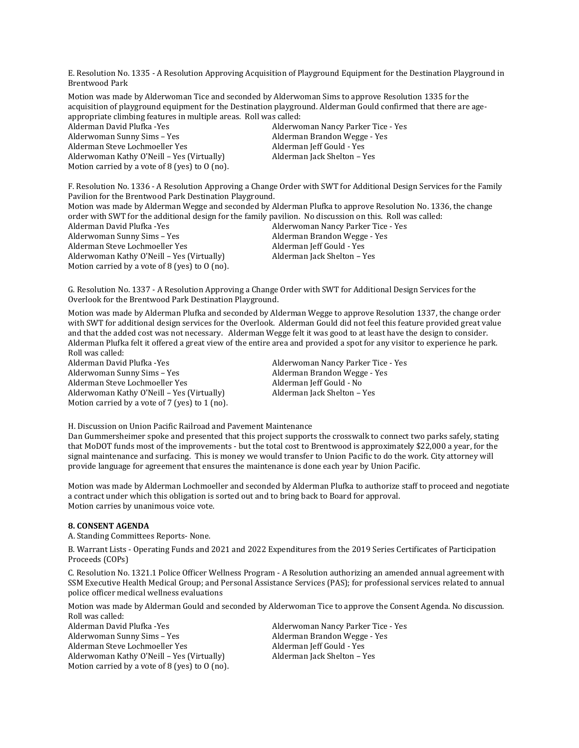E. Resolution No. 1335 - A Resolution Approving Acquisition of Playground Equipment for the Destination Playground in Brentwood Park

Motion was made by Alderwoman Tice and seconded by Alderwoman Sims to approve Resolution 1335 for the acquisition of playground equipment for the Destination playground. Alderman Gould confirmed that there are ageappropriate climbing features in multiple areas. Roll was called:

Alderman David Plufka -Yes Alderwoman Nancy Parker Tice - Yes Alderwoman Sunny Sims – Yes **Alderman Brandon Wegge - Yes** Alderman Brandon Wegge - Yes Alderman Steve Lochmoeller Yes Alderman Jeff Gould - Yes Alderwoman Kathy O'Neill – Yes (Virtually) Alderman Jack Shelton – Yes Motion carried by a vote of 8 (yes) to O (no).

F. Resolution No. 1336 - A Resolution Approving a Change Order with SWT for Additional Design Services for the Family Pavilion for the Brentwood Park Destination Playground.

| Motion was made by Alderman Wegge and seconded by Alderman Plufka to approve Resolution No. 1336, the change |                                    |  |
|--------------------------------------------------------------------------------------------------------------|------------------------------------|--|
| order with SWT for the additional design for the family pavilion. No discussion on this. Roll was called:    |                                    |  |
| Alderman David Plufka -Yes                                                                                   | Alderwoman Nancy Parker Tice - Yes |  |
| Alderwoman Sunny Sims - Yes                                                                                  | Alderman Brandon Wegge - Yes       |  |
| Alderman Steve Lochmoeller Yes                                                                               | Alderman Jeff Gould - Yes          |  |
| Alderwoman Kathy O'Neill – Yes (Virtually)                                                                   | Alderman Jack Shelton - Yes        |  |
| Motion carried by a vote of 8 (yes) to $0$ (no).                                                             |                                    |  |

G. Resolution No. 1337 - A Resolution Approving a Change Order with SWT for Additional Design Services for the Overlook for the Brentwood Park Destination Playground.

Motion was made by Alderman Plufka and seconded by Alderman Wegge to approve Resolution 1337, the change order with SWT for additional design services for the Overlook. Alderman Gould did not feel this feature provided great value and that the added cost was not necessary. Alderman Wegge felt it was good to at least have the design to consider. Alderman Plufka felt it offered a great view of the entire area and provided a spot for any visitor to experience he park. Roll was called:

Alderman David Plufka -Yes Alderwoman Nancy Parker Tice - Yes Alderwoman Sunny Sims – Yes Alderman Brandon Wegge - Yes Alderman Steve Lochmoeller Yes Alderman Jeff Gould - No Alderwoman Kathy O'Neill – Yes (Virtually) Alderman Jack Shelton – Yes Motion carried by a vote of 7 (yes) to 1 (no).

H. Discussion on Union Pacific Railroad and Pavement Maintenance

Dan Gummersheimer spoke and presented that this project supports the crosswalk to connect two parks safely, stating that MoDOT funds most of the improvements - but the total cost to Brentwood is approximately \$22,000 a year, for the signal maintenance and surfacing. This is money we would transfer to Union Pacific to do the work. City attorney will provide language for agreement that ensures the maintenance is done each year by Union Pacific.

Motion was made by Alderman Lochmoeller and seconded by Alderman Plufka to authorize staff to proceed and negotiate a contract under which this obligation is sorted out and to bring back to Board for approval. Motion carries by unanimous voice vote.

## **8. CONSENT AGENDA**

A. Standing Committees Reports- None.

B. Warrant Lists - Operating Funds and 2021 and 2022 Expenditures from the 2019 Series Certificates of Participation Proceeds (COPs)

C. Resolution No. 1321.1 Police Officer Wellness Program - A Resolution authorizing an amended annual agreement with SSM Executive Health Medical Group; and Personal Assistance Services (PAS); for professional services related to annual police officer medical wellness evaluations

Motion was made by Alderman Gould and seconded by Alderwoman Tice to approve the Consent Agenda. No discussion. Roll was called:

Alderman David Plufka -Yes Alderwoman Nancy Parker Tice - Yes Alderwoman Sunny Sims – Yes Alderman Brandon Wegge - Yes Alderman Steve Lochmoeller Yes Alderman Jeff Gould - Yes Alderwoman Kathy O'Neill – Yes (Virtually) Alderman Jack Shelton – Yes Motion carried by a vote of 8 (yes) to O (no).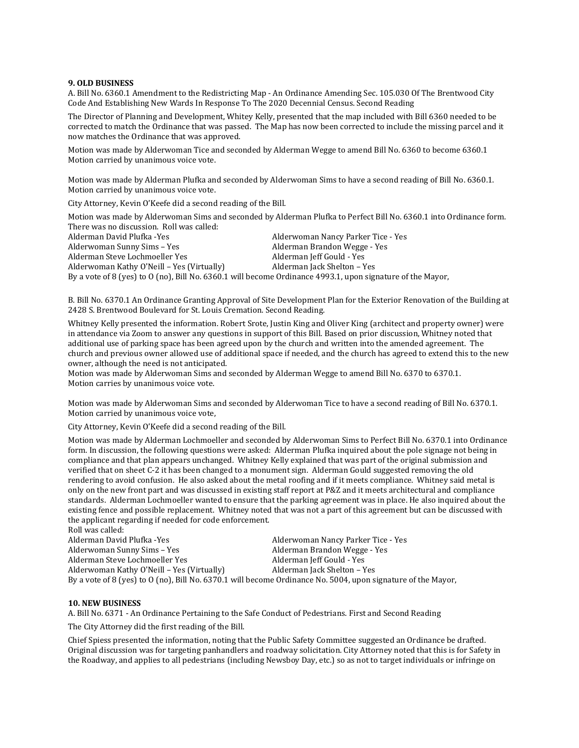#### **9. OLD BUSINESS**

A. Bill No. 6360.1 Amendment to the Redistricting Map - An Ordinance Amending Sec. 105.030 Of The Brentwood City Code And Establishing New Wards In Response To The 2020 Decennial Census. Second Reading

The Director of Planning and Development, Whitey Kelly, presented that the map included with Bill 6360 needed to be corrected to match the Ordinance that was passed. The Map has now been corrected to include the missing parcel and it now matches the Ordinance that was approved.

Motion was made by Alderwoman Tice and seconded by Alderman Wegge to amend Bill No. 6360 to become 6360.1 Motion carried by unanimous voice vote.

Motion was made by Alderman Plufka and seconded by Alderwoman Sims to have a second reading of Bill No. 6360.1. Motion carried by unanimous voice vote.

City Attorney, Kevin O'Keefe did a second reading of the Bill.

Motion was made by Alderwoman Sims and seconded by Alderman Plufka to Perfect Bill No. 6360.1 into Ordinance form. There was no discussion. Roll was called:

Alderman David Plufka -Yes Alderwoman Nancy Parker Tice - Yes Alderwoman Sunny Sims – Yes Alderman Brandon Wegge - Yes Alderman Steve Lochmoeller Yes **Alderman Ieff Gould - Yes** Alderman Jeff Gould - Yes Alderwoman Kathy O'Neill – Yes (Virtually) Alderman Jack Shelton – Yes By a vote of 8 (yes) to O (no), Bill No. 6360.1 will become Ordinance 4993.1, upon signature of the Mayor,

B. Bill No. 6370.1 An Ordinance Granting Approval of Site Development Plan for the Exterior Renovation of the Building at 2428 S. Brentwood Boulevard for St. Louis Cremation. Second Reading.

Whitney Kelly presented the information. Robert Srote, Justin King and Oliver King (architect and property owner) were in attendance via Zoom to answer any questions in support of this Bill. Based on prior discussion, Whitney noted that additional use of parking space has been agreed upon by the church and written into the amended agreement. The church and previous owner allowed use of additional space if needed, and the church has agreed to extend this to the new owner, although the need is not anticipated.

Motion was made by Alderwoman Sims and seconded by Alderman Wegge to amend Bill No. 6370 to 6370.1. Motion carries by unanimous voice vote.

Motion was made by Alderwoman Sims and seconded by Alderwoman Tice to have a second reading of Bill No. 6370.1. Motion carried by unanimous voice vote,

City Attorney, Kevin O'Keefe did a second reading of the Bill.

Motion was made by Alderman Lochmoeller and seconded by Alderwoman Sims to Perfect Bill No. 6370.1 into Ordinance form. In discussion, the following questions were asked: Alderman Plufka inquired about the pole signage not being in compliance and that plan appears unchanged. Whitney Kelly explained that was part of the original submission and verified that on sheet C-2 it has been changed to a monument sign. Alderman Gould suggested removing the old rendering to avoid confusion. He also asked about the metal roofing and if it meets compliance. Whitney said metal is only on the new front part and was discussed in existing staff report at P&Z and it meets architectural and compliance standards. Alderman Lochmoeller wanted to ensure that the parking agreement was in place. He also inquired about the existing fence and possible replacement. Whitney noted that was not a part of this agreement but can be discussed with the applicant regarding if needed for code enforcement.

Roll was called:<br>Alderman David Plufka - Yes Alderwoman Nancy Parker Tice - Yes Alderwoman Sunny Sims – Yes **Alderman Brandon Wegge - Yes** Alderman Brandon Wegge - Yes Alderman Steve Lochmoeller Yes Alderman Jeff Gould - Yes Alderwoman Kathy O'Neill – Yes (Virtually) Alderman Jack Shelton – Yes By a vote of 8 (yes) to O (no), Bill No. 6370.1 will become Ordinance No. 5004, upon signature of the Mayor,

#### **10. NEW BUSINESS**

A. Bill No. 6371 - An Ordinance Pertaining to the Safe Conduct of Pedestrians. First and Second Reading

The City Attorney did the first reading of the Bill.

Chief Spiess presented the information, noting that the Public Safety Committee suggested an Ordinance be drafted. Original discussion was for targeting panhandlers and roadway solicitation. City Attorney noted that this is for Safety in the Roadway, and applies to all pedestrians (including Newsboy Day, etc.) so as not to target individuals or infringe on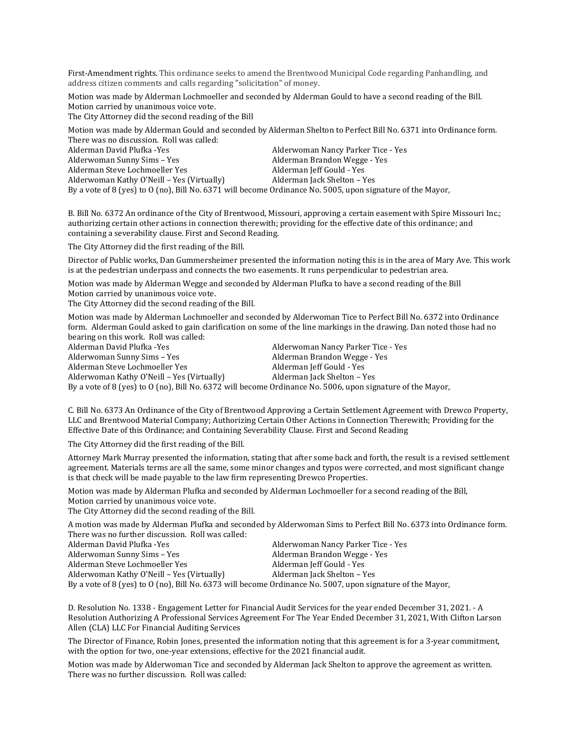First-Amendment rights. This ordinance seeks to amend the Brentwood Municipal Code regarding Panhandling, and address citizen comments and calls regarding "solicitation" of money.

Motion was made by Alderman Lochmoeller and seconded by Alderman Gould to have a second reading of the Bill. Motion carried by unanimous voice vote.

The City Attorney did the second reading of the Bill

Motion was made by Alderman Gould and seconded by Alderman Shelton to Perfect Bill No. 6371 into Ordinance form. There was no discussion. Roll was called:

| Alderman David Plufka -Yes                                                                                 | Alderwoman Nancy Parker Tice - Yes |
|------------------------------------------------------------------------------------------------------------|------------------------------------|
| Alderwoman Sunny Sims – Yes                                                                                | Alderman Brandon Wegge - Yes       |
| Alderman Steve Lochmoeller Yes                                                                             | Alderman Jeff Gould - Yes          |
| Alderwoman Kathy O'Neill – Yes (Virtually)                                                                 | Alderman Jack Shelton – Yes        |
| By a vote of 8 (yes) to 0 (no), Bill No. 6371 will become Ordinance No. 5005, upon signature of the Mayor, |                                    |

B. Bill No. 6372 An ordinance of the City of Brentwood, Missouri, approving a certain easement with Spire Missouri Inc.; authorizing certain other actions in connection therewith; providing for the effective date of this ordinance; and containing a severability clause. First and Second Reading.

The City Attorney did the first reading of the Bill.

Director of Public works, Dan Gummersheimer presented the information noting this is in the area of Mary Ave. This work is at the pedestrian underpass and connects the two easements. It runs perpendicular to pedestrian area.

Motion was made by Alderman Wegge and seconded by Alderman Plufka to have a second reading of the Bill Motion carried by unanimous voice vote.

The City Attorney did the second reading of the Bill.

Motion was made by Alderman Lochmoeller and seconded by Alderwoman Tice to Perfect Bill No. 6372 into Ordinance form. Alderman Gould asked to gain clarification on some of the line markings in the drawing. Dan noted those had no bearing on this work. Roll was called:

Alderman David Plufka -Yes Alderwoman Nancy Parker Tice - Yes Alderwoman Sunny Sims – Yes Alderman Brandon Wegge - Yes Alderman Steve Lochmoeller Yes Alderman Jeff Gould - Yes Alderwoman Kathy O'Neill – Yes (Virtually) Alderman Jack Shelton – Yes By a vote of 8 (yes) to O (no), Bill No. 6372 will become Ordinance No. 5006, upon signature of the Mayor,

C. Bill No. 6373 An Ordinance of the City of Brentwood Approving a Certain Settlement Agreement with Drewco Property, LLC and Brentwood Material Company; Authorizing Certain Other Actions in Connection Therewith; Providing for the Effective Date of this Ordinance; and Containing Severability Clause. First and Second Reading

The City Attorney did the first reading of the Bill.

Attorney Mark Murray presented the information, stating that after some back and forth, the result is a revised settlement agreement. Materials terms are all the same, some minor changes and typos were corrected, and most significant change is that check will be made payable to the law firm representing Drewco Properties.

Motion was made by Alderman Plufka and seconded by Alderman Lochmoeller for a second reading of the Bill, Motion carried by unanimous voice vote.

The City Attorney did the second reading of the Bill.

A motion was made by Alderman Plufka and seconded by Alderwoman Sims to Perfect Bill No. 6373 into Ordinance form. There was no further discussion. Roll was called:

| Alderman David Plufka -Yes                                                                                 | Alderwoman Nancy Parker Tice - Yes |
|------------------------------------------------------------------------------------------------------------|------------------------------------|
| Alderwoman Sunny Sims – Yes                                                                                | Alderman Brandon Wegge - Yes       |
| Alderman Steve Lochmoeller Yes                                                                             | Alderman Jeff Gould - Yes          |
| Alderwoman Kathy O'Neill – Yes (Virtually)                                                                 | Alderman Jack Shelton – Yes        |
| By a vote of 8 (yes) to 0 (no), Bill No. 6373 will become Ordinance No. 5007, upon signature of the Mayor, |                                    |

D. Resolution No. 1338 - Engagement Letter for Financial Audit Services for the year ended December 31, 2021. - A Resolution Authorizing A Professional Services Agreement For The Year Ended December 31, 2021, With Clifton Larson Allen (CLA) LLC For Financial Auditing Services

The Director of Finance, Robin Jones, presented the information noting that this agreement is for a 3-year commitment, with the option for two, one-year extensions, effective for the 2021 financial audit.

Motion was made by Alderwoman Tice and seconded by Alderman Jack Shelton to approve the agreement as written. There was no further discussion. Roll was called: